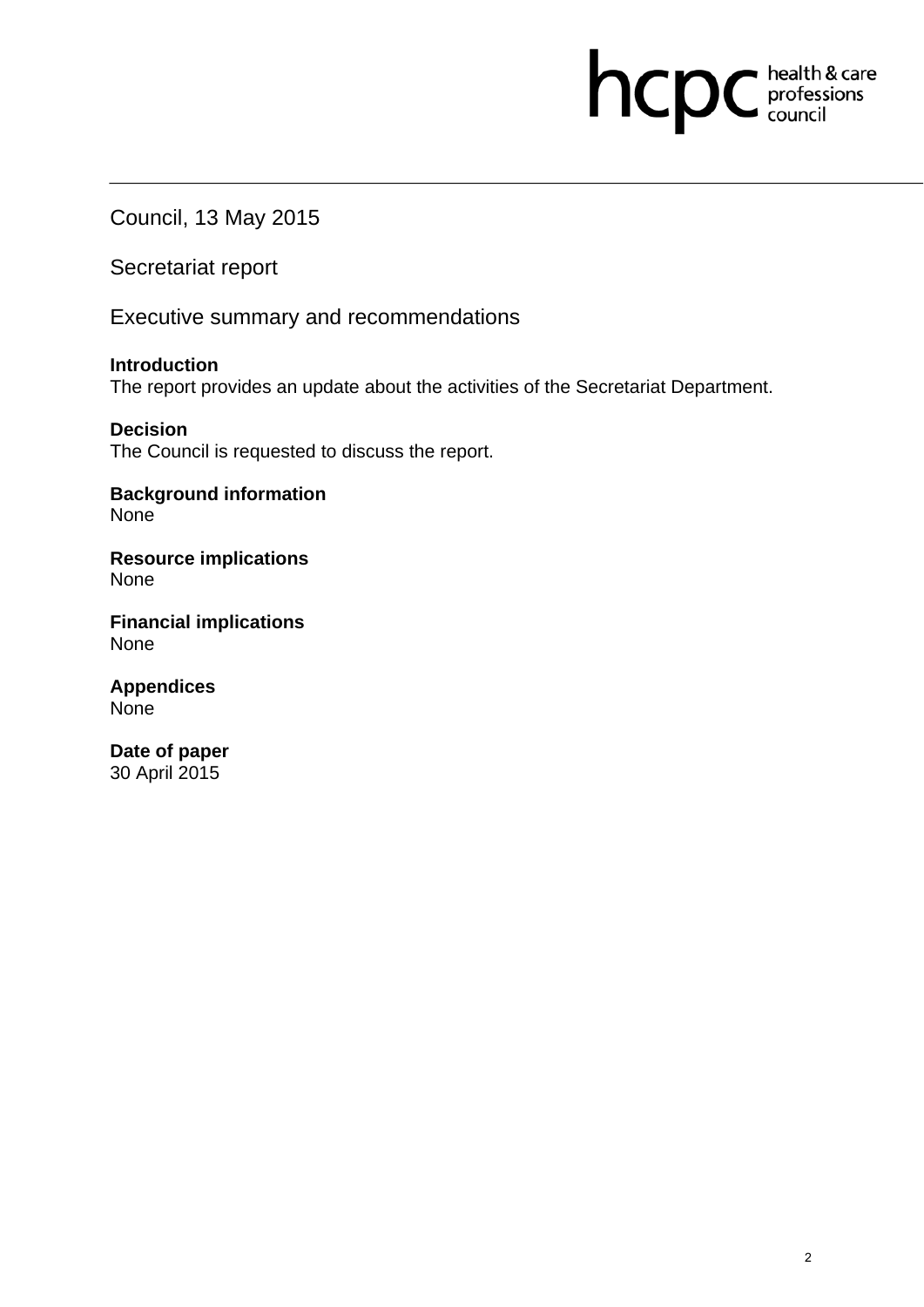# hcpc health & care

Council, 13 May 2015

Secretariat report

Executive summary and recommendations

**Introduction**  The report provides an update about the activities of the Secretariat Department.

**Decision**  The Council is requested to discuss the report.

**Background information**  None

**Resource implications**  None

**Financial implications**  None

**Appendices**  None

**Date of paper**  30 April 2015